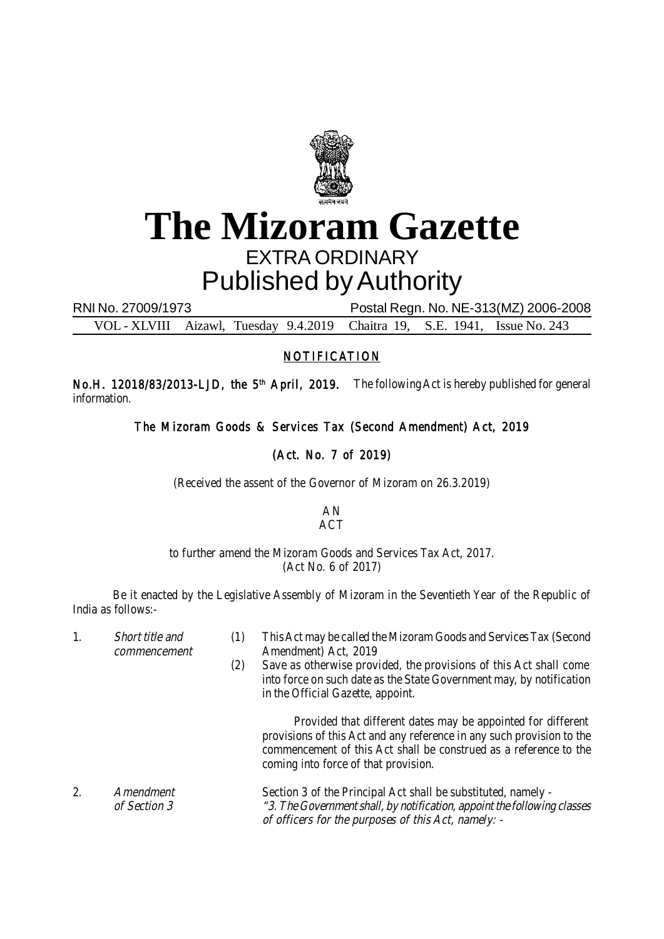

## **The Mizoram Gazette** EXTRA ORDINARY Published by Authority

RNI No. 27009/1973 Postal Regn. No. NE-313(MZ) 2006-2008

VOL - XLVIII Aizawl, Tuesday 9.4.2019 Chaitra 19, S.E. 1941, Issue No. 243

## NOTIFICATION

No.H. 12018/83/2013-LJD, the 5<sup>th</sup> April, 2019. The following Act is hereby published for general information.

The Mizoram Goods & Services Tax (Second Amendment) Act, 2019

## (Act. No. 7 of 2019)

(Received the assent of the Governor of Mizoram on 26.3.2019)

AN ACT

## to further amend the Mizoram Goods and Services Tax Act, 2017. (Act No. 6 of 2017)

Be it enacted by the Legislative Assembly of Mizoram in the Seventieth Year of the Republic of India as follows:-

1. Short title and (1) This Act may be called the Mizoram Goods and Services Tax (Second commencement Amendment Act, 2019 (2) Save as otherwise provided, the provisions of this Act shall come into force on such date as the State Government may, by notification in the Official Gazette, appoint. Provided that different dates may be appointed for different provisions of this Act and any reference in any such provision to the commencement of this Act shall be construed as a reference to the coming into force of that provision. 2. Amendment Section 3 of the Principal Act shall be substituted, namely of Section 3 "3. The Government shall, by notification, appoint the following classes of officers for the purposes of this Act, namely: -